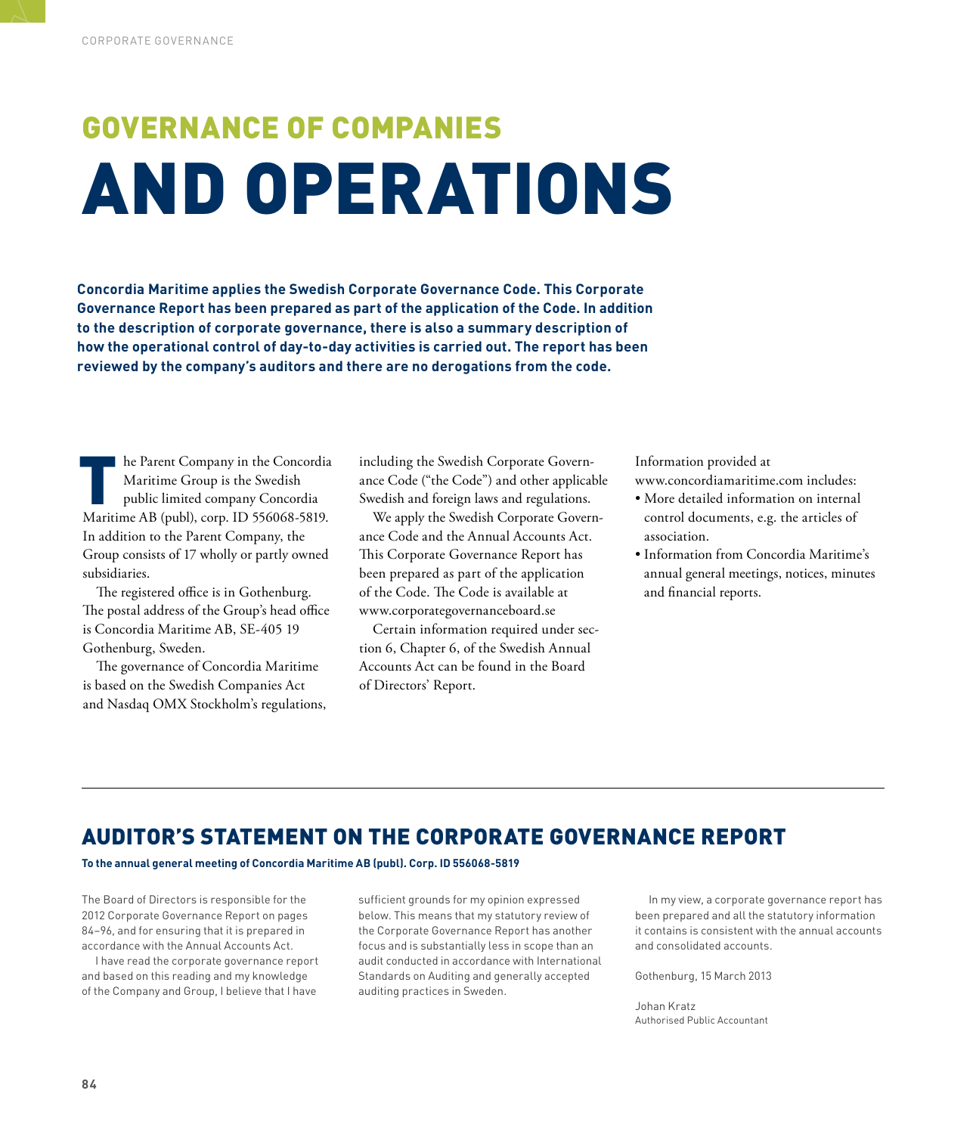# GOVERNANCE OF COMPANIES AND OPERATIONS

**Concordia Maritime applies the Swedish Corporate Governance Code. This Corporate Governance Report has been prepared as part of the application of the Code. In addition to the description of corporate governance, there is also a summary description of how the operational control of day-to-day activities is carried out. The report has been reviewed by the company's auditors and there are no derogations from the code.**

In the Parent Company in the Concordia<br>Maritime Group is the Swedish<br>public limited company Concordia<br>Maritime AB (publ), corp. ID 556068-5819. he Parent Company in the Concordia Maritime Group is the Swedish public limited company Concordia In addition to the Parent Company, the Group consists of 17 wholly or partly owned subsidiaries.

The registered office is in Gothenburg. The postal address of the Group's head office is Concordia Maritime AB, SE-405 19 Gothenburg, Sweden.

The governance of Concordia Maritime is based on the Swedish Companies Act and Nasdaq OMX Stockholm's regulations, including the Swedish Corporate Governance Code ("the Code") and other applicable Swedish and foreign laws and regulations.

We apply the Swedish Corporate Governance Code and the Annual Accounts Act. This Corporate Governance Report has been prepared as part of the application of the Code. The Code is available at www.corporategovernanceboard.se

Certain information required under section 6, Chapter 6, of the Swedish Annual Accounts Act can be found in the Board of Directors' Report.

Information provided at

www.concordiamaritime.com includes:

- More detailed information on internal control documents, e.g. the articles of association.
- Information from Concordia Maritime's annual general meetings, notices, minutes and financial reports.

### AUDITOR'S STATEMENT ON THE CORPORATE GOVERNANCE REPORT

**To the annual general meeting of Concordia Maritime AB (publ). Corp. ID 556068-5819**

The Board of Directors is responsible for the 2012 Corporate Governance Report on pages 84–96, and for ensuring that it is prepared in accordance with the Annual Accounts Act.

I have read the corporate governance report and based on this reading and my knowledge of the Company and Group, I believe that I have

sufficient grounds for my opinion expressed below. This means that my statutory review of the Corporate Governance Report has another focus and is substantially less in scope than an audit conducted in accordance with International Standards on Auditing and generally accepted auditing practices in Sweden.

In my view, a corporate governance report has been prepared and all the statutory information it contains is consistent with the annual accounts and consolidated accounts.

Gothenburg, 15 March 2013

Johan Kratz Authorised Public Accountant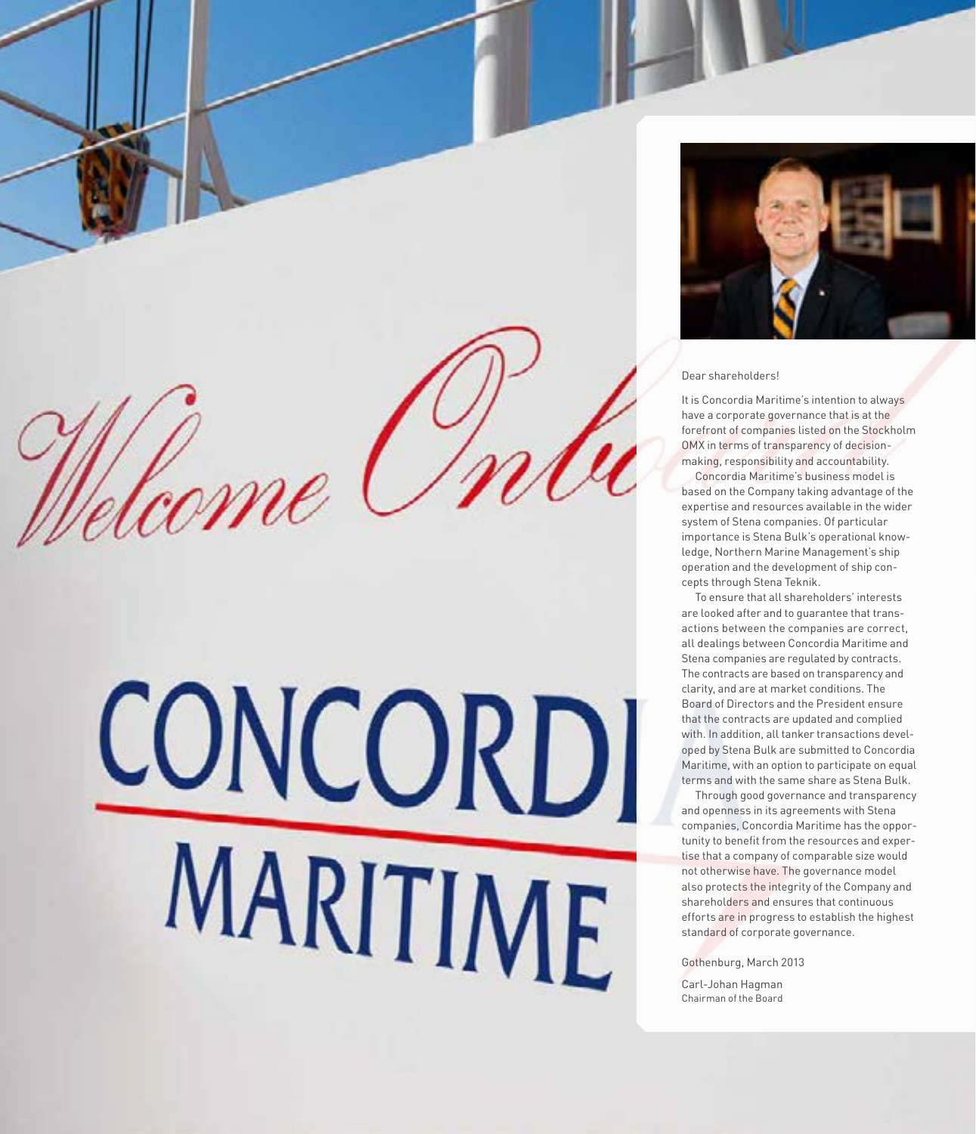### Dear shareholders!

It is Concordia Maritime's intention to always have a corporate governance that is at the forefront of companies listed on the Stockholm OMX in terms of transparency of decisionmaking, responsibility and accountability.

Concordia Maritime's business model is based on the Company taking advantage of the expertise and resources available in the wider system of Stena companies. Of particular importance is Stena Bulk's operational knowledge, Northern Marine Management's ship operation and the development of ship concepts through Stena Teknik.

To ensure that all shareholders' interests are looked after and to guarantee that transactions between the companies are correct, all dealings between Concordia Maritime and Stena companies are regulated by contracts. The contracts are based on transparency and clarity, and are at market conditions. The Board of Directors and the President ensure that the contracts are updated and complied with. In addition, all tanker transactions developed by Stena Bulk are submitted to Concordia Maritime, with an option to participate on equal terms and with the same share as Stena Bulk.

Through good governance and transparency and openness in its agreements with Stena companies, Concordia Maritime has the opportunity to benefit from the resources and expertise that a company of comparable size would not otherwise have. The governance model also protects the integrity of the Company and shareholders and ensures that continuous efforts are in progress to establish the highest standard of corporate governance.

Gothenburg, March 2013

Carl-Johan Hagman Chairman of the Board

CONCORDI

MARITIME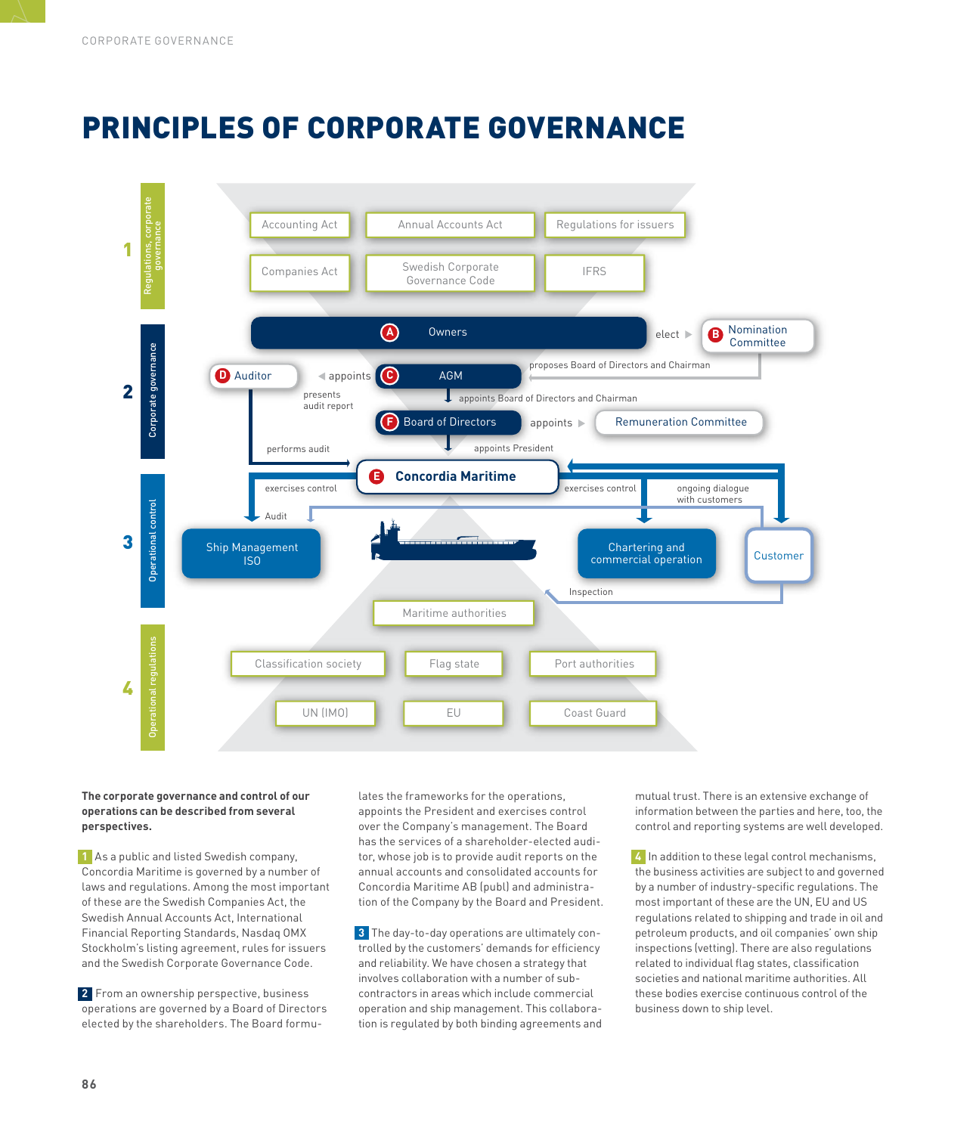# PRINCIPLES OF CORPORATE GOVERNANCE



### **The corporate governance and control of our operations can be described from several perspectives.**

**1** As a public and listed Swedish company, Concordia Maritime is governed by a number of laws and regulations. Among the most important of these are the Swedish Companies Act, the Swedish Annual Accounts Act, International Financial Reporting Standards, Nasdaq OMX Stockholm's listing agreement, rules for issuers and the Swedish Corporate Governance Code.

**2** From an ownership perspective, business operations are governed by a Board of Directors elected by the shareholders. The Board formulates the frameworks for the operations, appoints the President and exercises control over the Company's management. The Board has the services of a shareholder-elected auditor, whose job is to provide audit reports on the annual accounts and consolidated accounts for Concordia Maritime AB (publ) and administration of the Company by the Board and President.

**3** The day-to-day operations are ultimately controlled by the customers' demands for efficiency and reliability. We have chosen a strategy that involves collaboration with a number of subcontractors in areas which include commercial operation and ship management. This collaboration is regulated by both binding agreements and

mutual trust. There is an extensive exchange of information between the parties and here, too, the control and reporting systems are well developed.

**4** In addition to these legal control mechanisms, the business activities are subject to and governed by a number of industry-specific regulations. The most important of these are the UN, EU and US regulations related to shipping and trade in oil and petroleum products, and oil companies' own ship inspections (vetting). There are also regulations related to individual flag states, classification societies and national maritime authorities. All these bodies exercise continuous control of the business down to ship level.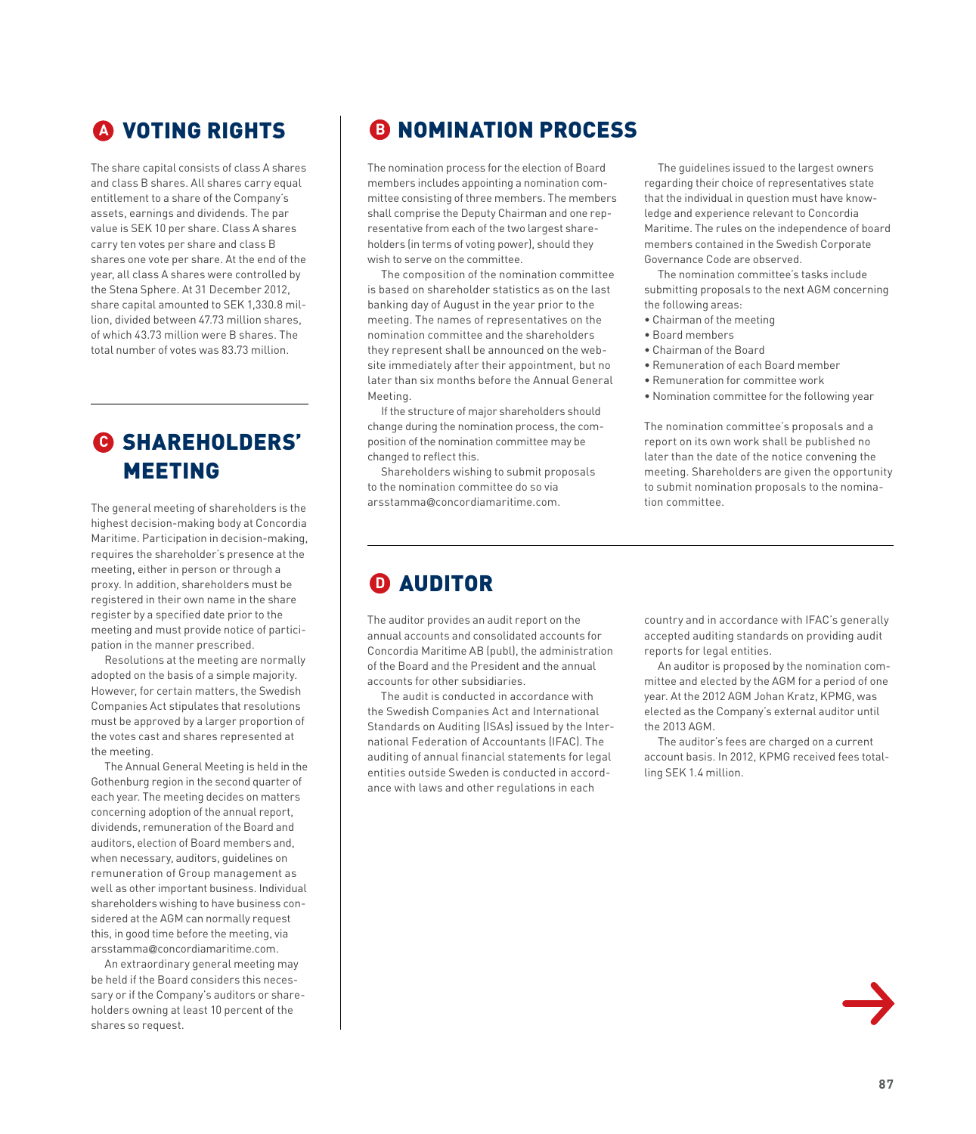# **<sup>A</sup>** VOTING RIGHTS

The share capital consists of class A shares and class B shares. All shares carry equal entitlement to a share of the Company's assets, earnings and dividends. The par value is SEK 10 per share. Class A shares carry ten votes per share and class B shares one vote per share. At the end of the year, all class A shares were controlled by the Stena Sphere. At 31 December 2012, share capital amounted to SEK 1,330.8 million, divided between 47.73 million shares, of which 43.73 million were B shares. The total number of votes was 83.73 million.

### **<sup>C</sup>** SHAREHOLDERS' MEETING

The general meeting of shareholders is the highest decision-making body at Concordia Maritime. Participation in decision-making, requires the shareholder's presence at the meeting, either in person or through a proxy. In addition, shareholders must be registered in their own name in the share register by a specified date prior to the meeting and must provide notice of participation in the manner prescribed.

Resolutions at the meeting are normally adopted on the basis of a simple majority. However, for certain matters, the Swedish Companies Act stipulates that resolutions must be approved by a larger proportion of the votes cast and shares represented at the meeting.

The Annual General Meeting is held in the Gothenburg region in the second quarter of each year. The meeting decides on matters concerning adoption of the annual report, dividends, remuneration of the Board and auditors, election of Board members and, when necessary, auditors, guidelines on remuneration of Group management as well as other important business. Individual shareholders wishing to have business considered at the AGM can normally request this, in good time before the meeting, via arsstamma@concordiamaritime.com.

An extraordinary general meeting may be held if the Board considers this necessary or if the Company's auditors or shareholders owning at least 10 percent of the shares so request.

# **B** NOMINATION PROCESS

The nomination process for the election of Board members includes appointing a nomination committee consisting of three members. The members shall comprise the Deputy Chairman and one representative from each of the two largest shareholders (in terms of voting power), should they wish to serve on the committee.

The composition of the nomination committee is based on shareholder statistics as on the last banking day of August in the year prior to the meeting. The names of representatives on the nomination committee and the shareholders they represent shall be announced on the website immediately after their appointment, but no later than six months before the Annual General Meeting.

If the structure of major shareholders should change during the nomination process, the composition of the nomination committee may be changed to reflect this.

Shareholders wishing to submit proposals to the nomination committee do so via arsstamma@concordiamaritime.com.

The guidelines issued to the largest owners regarding their choice of representatives state that the individual in question must have knowledge and experience relevant to Concordia Maritime. The rules on the independence of board members contained in the Swedish Corporate Governance Code are observed.

The nomination committee's tasks include submitting proposals to the next AGM concerning the following areas:

- Chairman of the meeting
- Board members
- Chairman of the Board
- Remuneration of each Board member
- Remuneration for committee work
- Nomination committee for the following year

The nomination committee's proposals and a report on its own work shall be published no later than the date of the notice convening the meeting. Shareholders are given the opportunity to submit nomination proposals to the nomination committee.

### **<sup>D</sup>** AUDITOR

The auditor provides an audit report on the annual accounts and consolidated accounts for Concordia Maritime AB (publ), the administration of the Board and the President and the annual accounts for other subsidiaries.

The audit is conducted in accordance with the Swedish Companies Act and International Standards on Auditing (ISAs) issued by the International Federation of Accountants (IFAC). The auditing of annual financial statements for legal entities outside Sweden is conducted in accordance with laws and other regulations in each

country and in accordance with IFAC's generally accepted auditing standards on providing audit reports for legal entities.

An auditor is proposed by the nomination committee and elected by the AGM for a period of one year. At the 2012 AGM Johan Kratz, KPMG, was elected as the Company's external auditor until the 2013 AGM.

The auditor's fees are charged on a current account basis. In 2012, KPMG received fees totalling SEK 1.4 million.

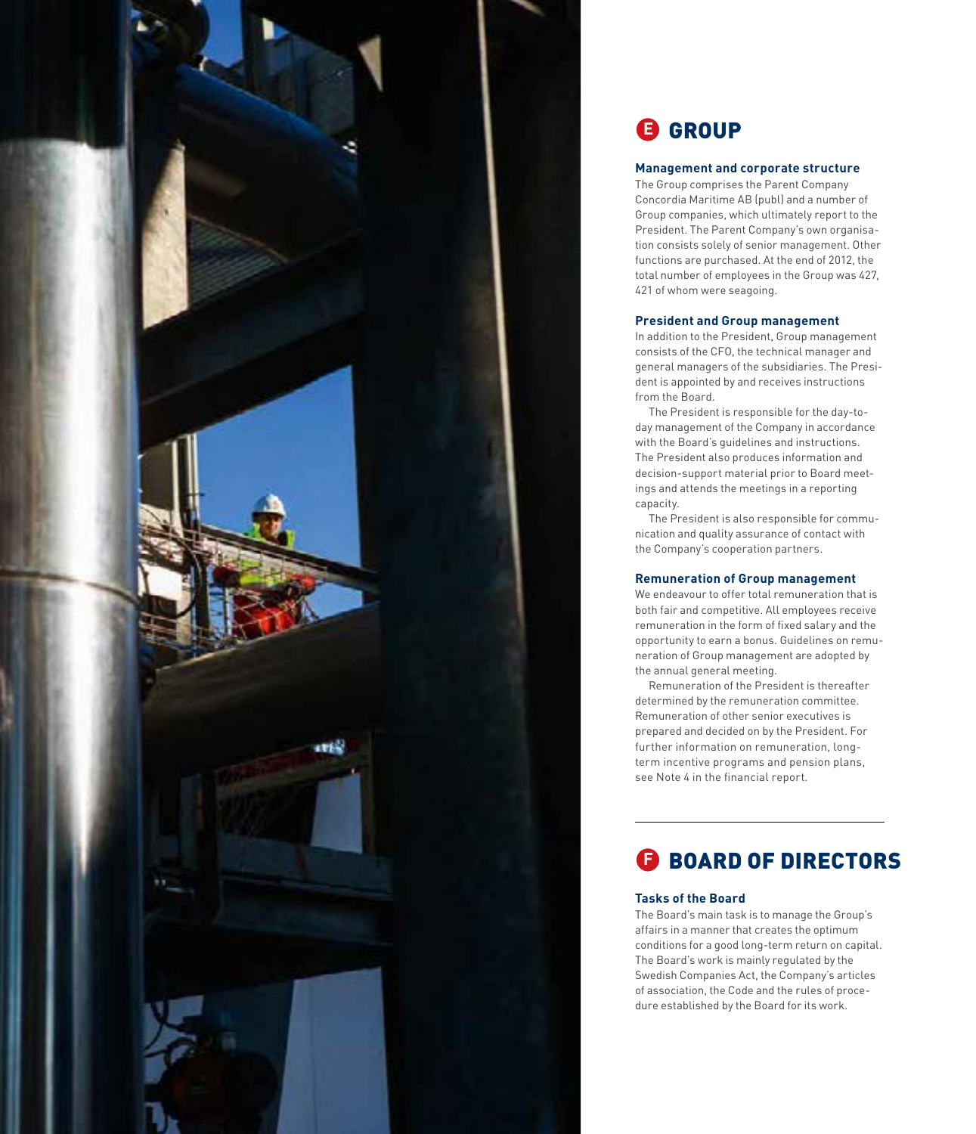

### **Management and corporate structure**

**CROUP**<br>
Management and corporate structure<br>The Group comprises the Parent Company<br>
Concordia Maritime AB (publ) and a numbe<br>
Group companies, which ultimately report<br>
President. The Parent Company's own orga<br>
President. T The Group comprises the Parent Company Concordia Maritime AB (publ) and a number of Group companies, which ultimately report to the President. The Parent Company's own organisa tion consists solely of senior management. Other functions are purchased. At the end of 2012, the total number of employees in the Group was 427, 421 of whom were seagoing.

### **President and Group management**

In addition to the President, Group management consists of the CFO, the technical manager and general managers of the subsidiaries. The Presi dent is appointed by and receives instructions from the Board.

The President is responsible for the day-today management of the Company in accordance with the Board's guidelines and instructions. The President also produces information and decision-support material prior to Board meet ings and attends the meetings in a reporting capacity.

The President is also responsible for commu nication and quality assurance of contact with the Company's cooperation partners.

### **Remuneration of Group management**

We endeavour to offer total remuneration that is both fair and competitive. All employees receive remuneration in the form of fixed salary and the opportunity to earn a bonus. Guidelines on remu neration of Group management are adopted by the annual general meeting.

Remuneration of the President is thereafter determined by the remuneration committee. Remuneration of other senior executives is prepared and decided on by the President. For further information on remuneration, longterm incentive programs and pension plans, see Note 4 in the financial report.

### **E** BOARD OF DIRECTORS

### **Tasks of the Board**

The Board's main task is to manage the Group's affairs in a manner that creates the optimum conditions for a good long-term return on capital. The Board's work is mainly regulated by the Swedish Companies Act, the Company's articles of association, the Code and the rules of proce -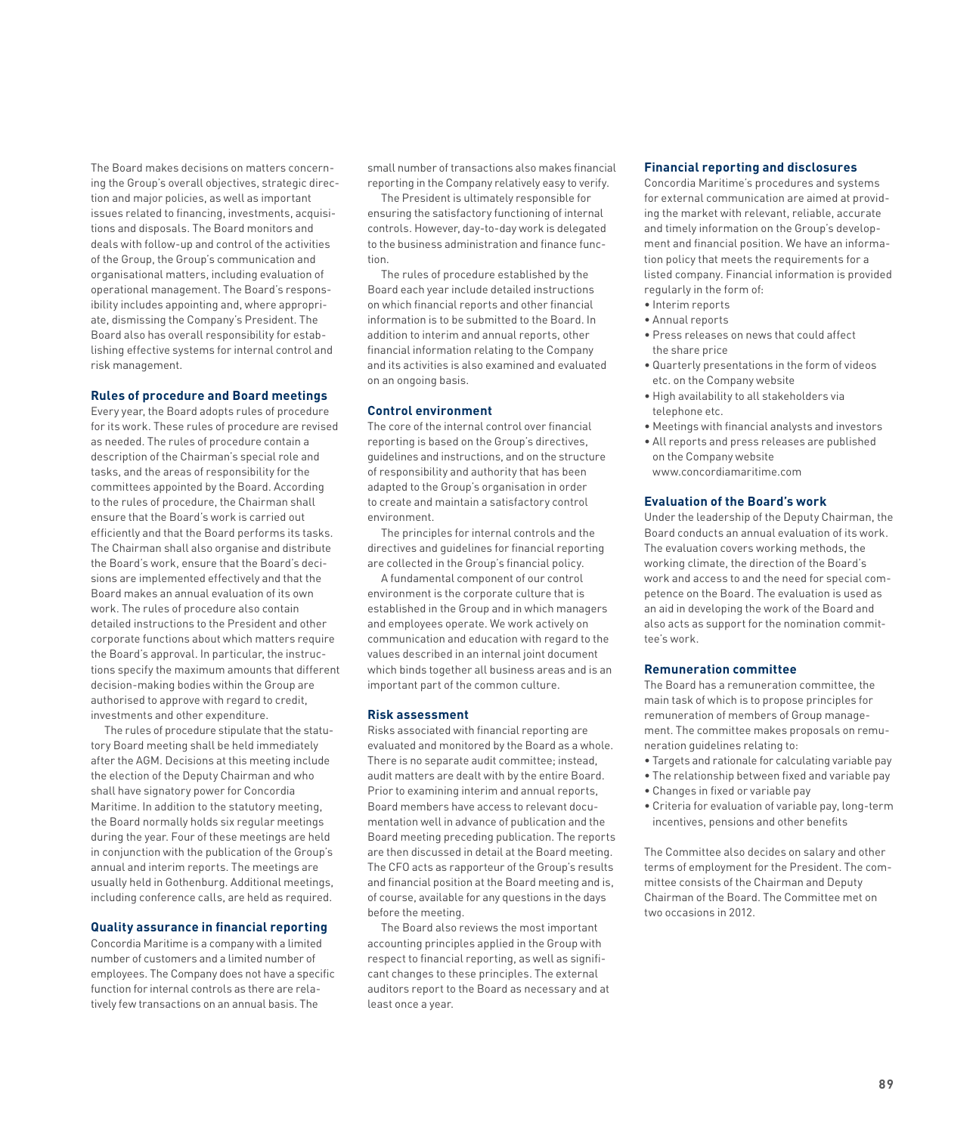The Board makes decisions on matters concerning the Group's overall objectives, strategic direction and major policies, as well as important issues related to financing, investments, acquisitions and disposals. The Board monitors and deals with follow-up and control of the activities of the Group, the Group's communication and organisational matters, including evaluation of operational management. The Board's responsibility includes appointing and, where appropriate, dismissing the Company's President. The Board also has overall responsibility for establishing effective systems for internal control and risk management.

### **Rules of procedure and Board meetings**

Every year, the Board adopts rules of procedure for its work. These rules of procedure are revised as needed. The rules of procedure contain a description of the Chairman's special role and tasks, and the areas of responsibility for the committees appointed by the Board. According to the rules of procedure, the Chairman shall ensure that the Board's work is carried out efficiently and that the Board performs its tasks. The Chairman shall also organise and distribute the Board's work, ensure that the Board's decisions are implemented effectively and that the Board makes an annual evaluation of its own work. The rules of procedure also contain detailed instructions to the President and other corporate functions about which matters require the Board's approval. In particular, the instructions specify the maximum amounts that different decision-making bodies within the Group are authorised to approve with regard to credit, investments and other expenditure.

The rules of procedure stipulate that the statutory Board meeting shall be held immediately after the AGM. Decisions at this meeting include the election of the Deputy Chairman and who shall have signatory power for Concordia Maritime. In addition to the statutory meeting, the Board normally holds six regular meetings during the year. Four of these meetings are held in conjunction with the publication of the Group's annual and interim reports. The meetings are usually held in Gothenburg. Additional meetings, including conference calls, are held as required.

### **Quality assurance in financial reporting**

Concordia Maritime is a company with a limited number of customers and a limited number of employees. The Company does not have a specific function for internal controls as there are relatively few transactions on an annual basis. The

small number of transactions also makes financial reporting in the Company relatively easy to verify.

The President is ultimately responsible for ensuring the satisfactory functioning of internal controls. However, day-to-day work is delegated to the business administration and finance function.

The rules of procedure established by the Board each year include detailed instructions on which financial reports and other financial information is to be submitted to the Board. In addition to interim and annual reports, other financial information relating to the Company and its activities is also examined and evaluated on an ongoing basis.

### **Control environment**

The core of the internal control over financial reporting is based on the Group's directives, guidelines and instructions, and on the structure of responsibility and authority that has been adapted to the Group's organisation in order to create and maintain a satisfactory control environment.

The principles for internal controls and the directives and guidelines for financial reporting are collected in the Group's financial policy.

A fundamental component of our control environment is the corporate culture that is established in the Group and in which managers and employees operate. We work actively on communication and education with regard to the values described in an internal joint document which binds together all business areas and is an important part of the common culture.

### **Risk assessment**

Risks associated with financial reporting are evaluated and monitored by the Board as a whole. There is no separate audit committee; instead, audit matters are dealt with by the entire Board. Prior to examining interim and annual reports, Board members have access to relevant documentation well in advance of publication and the Board meeting preceding publication. The reports are then discussed in detail at the Board meeting. The CFO acts as rapporteur of the Group's results and financial position at the Board meeting and is, of course, available for any questions in the days before the meeting.

The Board also reviews the most important accounting principles applied in the Group with respect to financial reporting, as well as significant changes to these principles. The external auditors report to the Board as necessary and at least once a year.

#### **Financial reporting and disclosures**

Concordia Maritime's procedures and systems for external communication are aimed at providing the market with relevant, reliable, accurate and timely information on the Group's development and financial position. We have an information policy that meets the requirements for a listed company. Financial information is provided regularly in the form of:

- Interim reports
- Annual reports
- Press releases on news that could affect the share price
- Quarterly presentations in the form of videos etc. on the Company website
- High availability to all stakeholders via telephone etc.
- Meetings with financial analysts and investors
- All reports and press releases are published on the Company website www.concordiamaritime.com

#### **Evaluation of the Board's work**

Under the leadership of the Deputy Chairman, the Board conducts an annual evaluation of its work. The evaluation covers working methods, the working climate, the direction of the Board's work and access to and the need for special competence on the Board. The evaluation is used as an aid in developing the work of the Board and also acts as support for the nomination committee's work.

### **Remuneration committee**

The Board has a remuneration committee, the main task of which is to propose principles for remuneration of members of Group management. The committee makes proposals on remuneration guidelines relating to:

- Targets and rationale for calculating variable pay
- The relationship between fixed and variable pay
- Changes in fixed or variable pay
- Criteria for evaluation of variable pay, long-term incentives, pensions and other benefits

The Committee also decides on salary and other terms of employment for the President. The committee consists of the Chairman and Deputy Chairman of the Board. The Committee met on two occasions in 2012.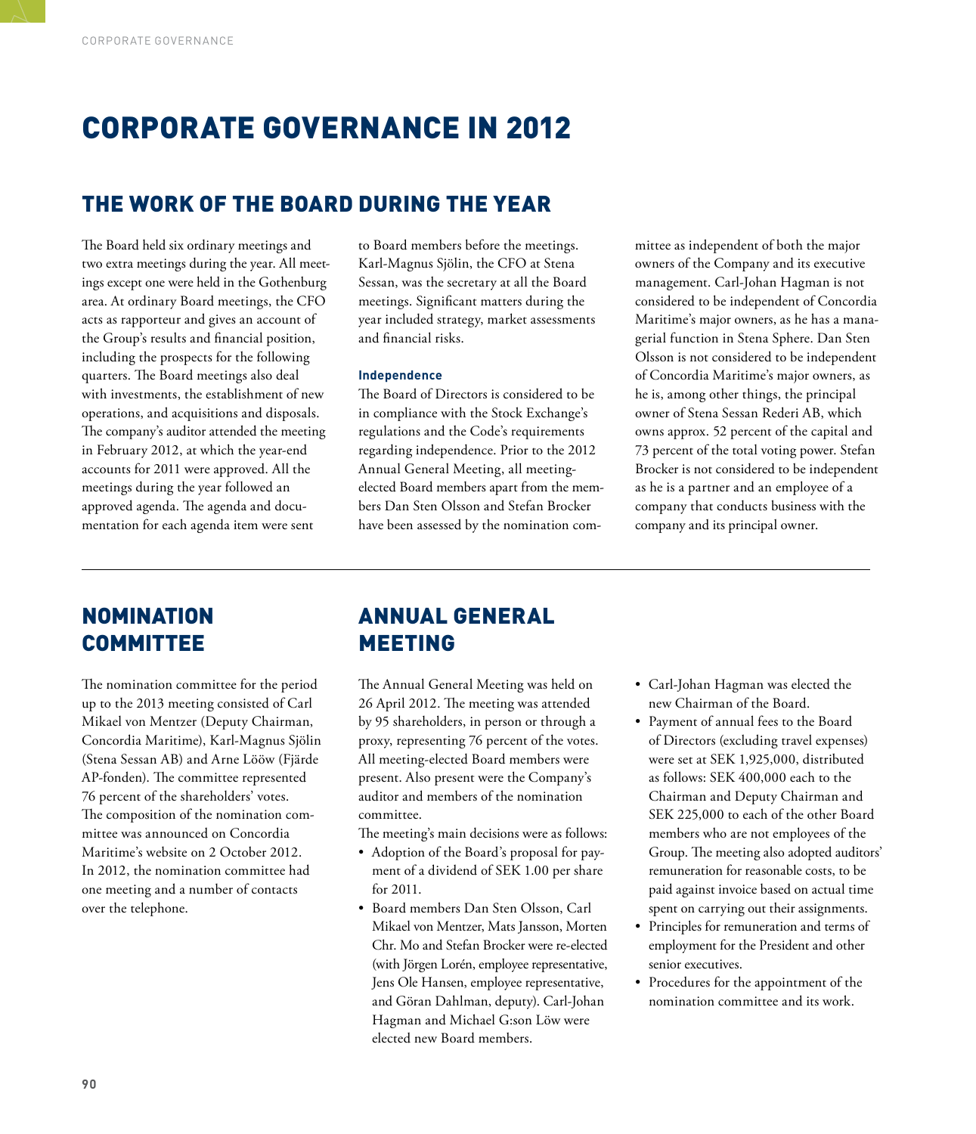# CORPORATE GOVERNANCE IN 2012

### THE WORK OF THE BOARD DURING THE YEAR

The Board held six ordinary meetings and two extra meetings during the year. All meetings except one were held in the Gothenburg area. At ordinary Board meetings, the CFO acts as rapporteur and gives an account of the Group's results and financial position, including the prospects for the following quarters. The Board meetings also deal with investments, the establishment of new operations, and acquisitions and disposals. The company's auditor attended the meeting in February 2012, at which the year-end accounts for 2011 were approved. All the meetings during the year followed an approved agenda. The agenda and documentation for each agenda item were sent

to Board members before the meetings. Karl-Magnus Sjölin, the CFO at Stena Sessan, was the secretary at all the Board meetings. Significant matters during the year included strategy, market assessments and financial risks.

### **Independence**

The Board of Directors is considered to be in compliance with the Stock Exchange's regulations and the Code's requirements regarding independence. Prior to the 2012 Annual General Meeting, all meeting-elected Board members apart from the members Dan Sten Olsson and Stefan Brocker have been assessed by the nomination com-

mittee as independent of both the major owners of the Company and its executive management. Carl-Johan Hagman is not considered to be independent of Concordia Maritime's major owners, as he has a managerial function in Stena Sphere. Dan Sten Olsson is not considered to be independent of Concordia Maritime's major owners, as he is, among other things, the principal owner of Stena Sessan Rederi AB, which owns approx. 52 percent of the capital and 73 percent of the total voting power. Stefan Brocker is not considered to be independent as he is a partner and an employee of a company that conducts business with the company and its principal owner.

### NOMINATION COMMITTEE

The nomination committee for the period up to the 2013 meeting consisted of Carl Mikael von Mentzer (Deputy Chairman, Concordia Maritime), Karl-Magnus Sjölin (Stena Sessan AB) and Arne Lööw (Fjärde AP-fonden). The committee represented 76 percent of the shareholders' votes. The composition of the nomination committee was announced on Concordia Maritime's website on 2 October 2012. In 2012, the nomination committee had one meeting and a number of contacts over the telephone.

### ANNUAL GENERAL MEETING

The Annual General Meeting was held on 26 April 2012. The meeting was attended by 95 shareholders, in person or through a proxy, representing 76 percent of the votes. All meeting-elected Board members were present. Also present were the Company's auditor and members of the nomination committee.

The meeting's main decisions were as follows:

- Adoption of the Board's proposal for payment of a dividend of SEK 1.00 per share for 2011.
- Board members Dan Sten Olsson, Carl Mikael von Mentzer, Mats Jansson, Morten Chr. Mo and Stefan Brocker were re-elected (with Jörgen Lorén, employee representative, Jens Ole Hansen, employee representative, and Göran Dahlman, deputy). Carl-Johan Hagman and Michael G:son Löw were elected new Board members.
- Carl-Johan Hagman was elected the new Chairman of the Board.
- Payment of annual fees to the Board of Directors (excluding travel expenses) were set at SEK 1,925,000, distributed as follows: SEK 400,000 each to the Chairman and Deputy Chairman and SEK 225,000 to each of the other Board members who are not employees of the Group. The meeting also adopted auditors' remuneration for reasonable costs, to be paid against invoice based on actual time spent on carrying out their assignments.
- Principles for remuneration and terms of employment for the President and other senior executives.
- Procedures for the appointment of the nomination committee and its work.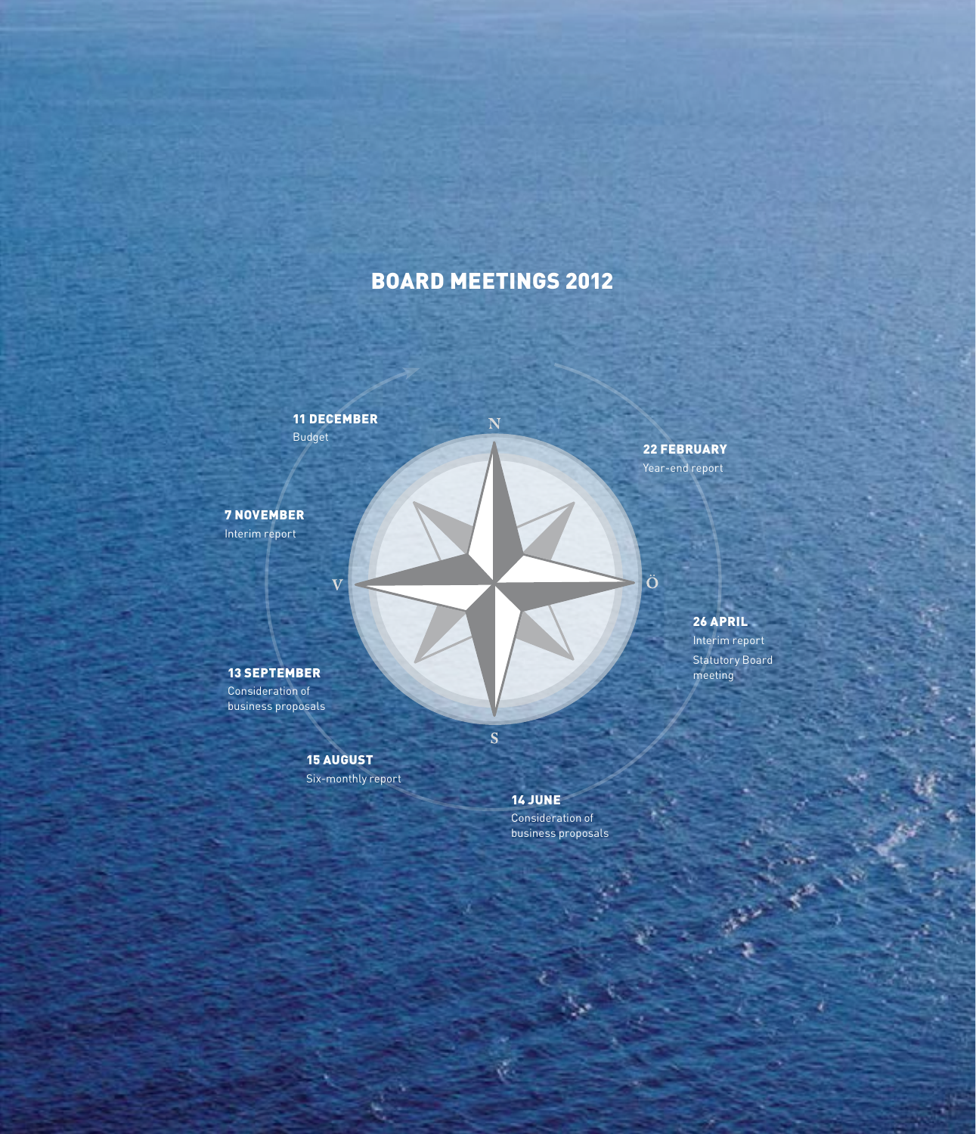# BOARD MEETINGS 2012

Ń

11 December Budget

 $\overline{\mathbf{V}}$ 

7 November Interim report

22 February Year-end report

 $|\ddot{o}|$ 

26 april Interim report Statutory Board meeting

**91**

13 september Consideration of business proposals

> 15 August Six-monthly report

> > 14 June

 $\overline{\mathbf{S}}$ 

Consideration of business proposals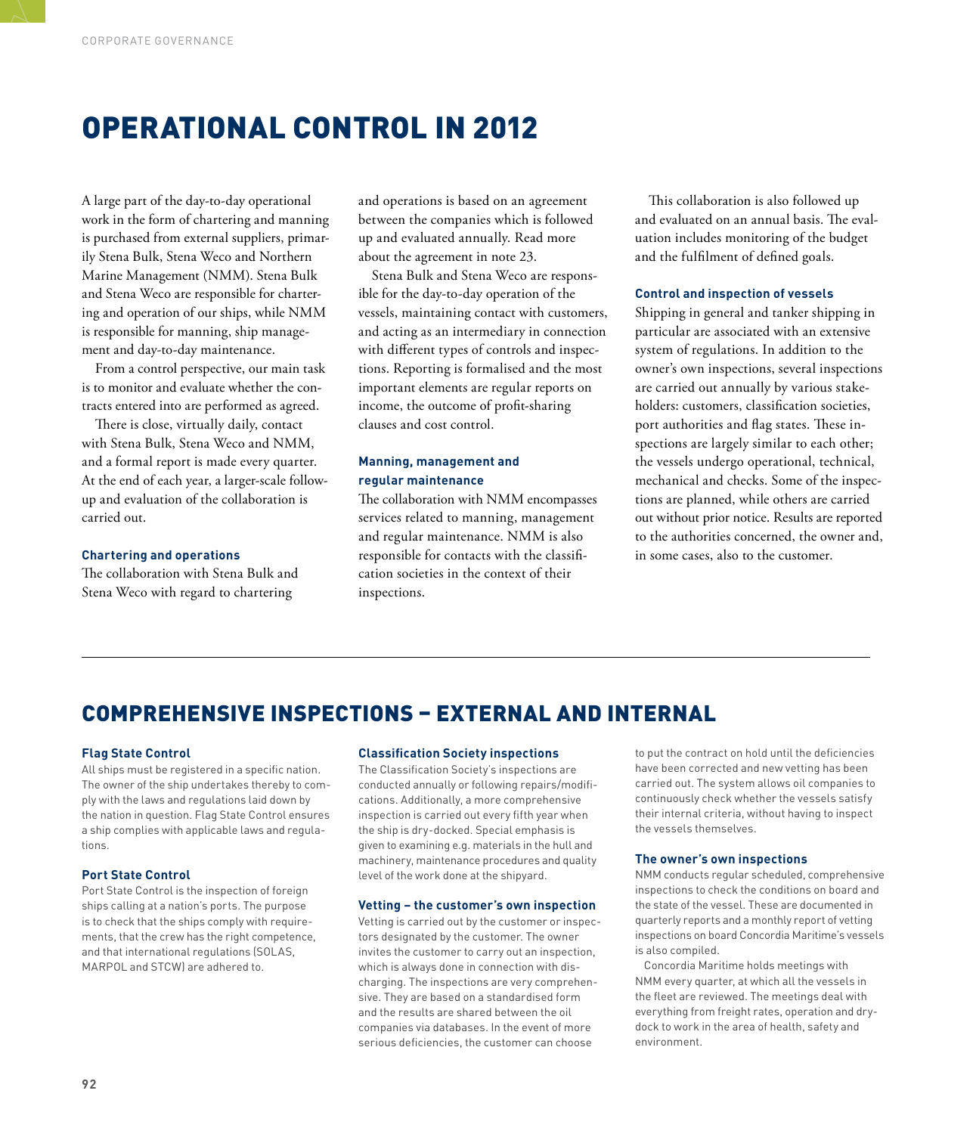# OPERATIONAL CONTROL IN 2012

A large part of the day-to-day operational work in the form of chartering and manning is purchased from external suppliers, primarily Stena Bulk, Stena Weco and Northern Marine Management (NMM). Stena Bulk and Stena Weco are responsible for chartering and operation of our ships, while NMM is responsible for manning, ship management and day-to-day maintenance.

From a control perspective, our main task is to monitor and evaluate whether the contracts entered into are performed as agreed.

There is close, virtually daily, contact with Stena Bulk, Stena Weco and NMM, and a formal report is made every quarter. At the end of each year, a larger-scale follow-up and evaluation of the collaboration is carried out.

### **Chartering and operations**

The collaboration with Stena Bulk and Stena Weco with regard to chartering

and operations is based on an agreement between the companies which is followed up and evaluated annually. Read more about the agreement in note 23.

Stena Bulk and Stena Weco are responsible for the day-to-day operation of the vessels, maintaining contact with customers, and acting as an intermediary in connection with different types of controls and inspections. Reporting is formalised and the most important elements are regular reports on income, the outcome of profit-sharing clauses and cost control.

### **Manning, management and regular maintenance**

The collaboration with NMM encompasses services related to manning, management and regular maintenance. NMM is also responsible for contacts with the classification societies in the context of their inspections.

This collaboration is also followed up and evaluated on an annual basis. The evaluation includes monitoring of the budget and the fulfilment of defined goals.

### **Control and inspection of vessels**

Shipping in general and tanker shipping in particular are associated with an extensive system of regulations. In addition to the owner's own inspections, several inspections are carried out annually by various stakeholders: customers, classification societies, port authorities and flag states. These inspections are largely similar to each other; the vessels undergo operational, technical, mechanical and checks. Some of the inspections are planned, while others are carried out without prior notice. Results are reported to the authorities concerned, the owner and, in some cases, also to the customer.

### COMPREHENSIVE INSPECTIONS – EXTERNAL AND INTERNAL

### **Flag State Control**

All ships must be registered in a specific nation. The owner of the ship undertakes thereby to comply with the laws and regulations laid down by the nation in question. Flag State Control ensures a ship complies with applicable laws and regulations.

### **Port State Control**

Port State Control is the inspection of foreign ships calling at a nation's ports. The purpose is to check that the ships comply with requirements, that the crew has the right competence, and that international regulations (SOLAS, MARPOL and STCW) are adhered to.

### **Classification Society inspections**

The Classification Society's inspections are conducted annually or following repairs/modifications. Additionally, a more comprehensive inspection is carried out every fifth year when the ship is dry-docked. Special emphasis is given to examining e.g. materials in the hull and machinery, maintenance procedures and quality level of the work done at the shipyard.

#### **Vetting – the customer's own inspection**

Vetting is carried out by the customer or inspectors designated by the customer. The owner invites the customer to carry out an inspection, which is always done in connection with discharging. The inspections are very comprehensive. They are based on a standardised form and the results are shared between the oil companies via databases. In the event of more serious deficiencies, the customer can choose

to put the contract on hold until the deficiencies have been corrected and new vetting has been carried out. The system allows oil companies to continuously check whether the vessels satisfy their internal criteria, without having to inspect the vessels themselves.

### **The owner's own inspections**

NMM conducts regular scheduled, comprehensive inspections to check the conditions on board and the state of the vessel. These are documented in quarterly reports and a monthly report of vetting inspections on board Concordia Maritime's vessels is also compiled.

Concordia Maritime holds meetings with NMM every quarter, at which all the vessels in the fleet are reviewed. The meetings deal with everything from freight rates, operation and drydock to work in the area of health, safety and environment.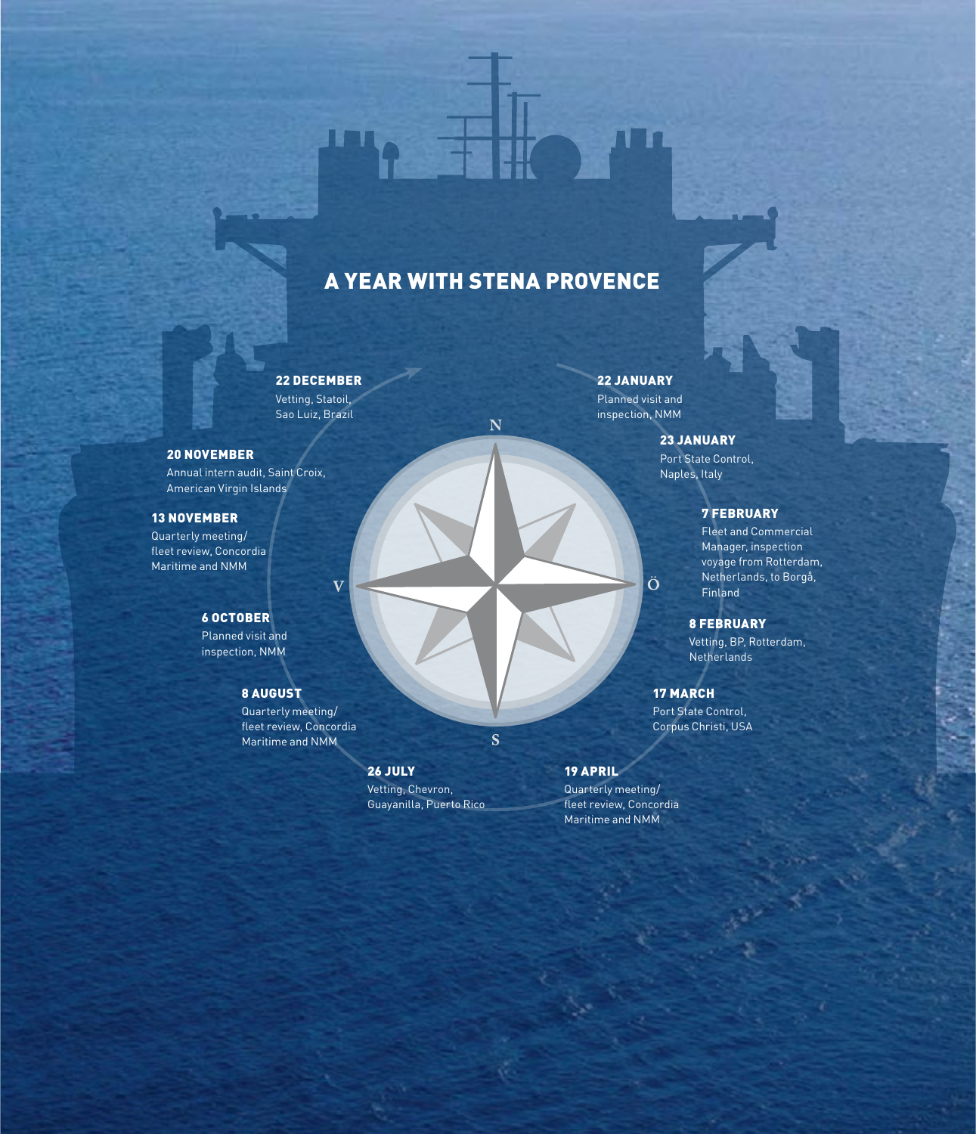# A year with Stena Provence

N

S

### 22 December

Vetting, Statoil, Sao Luiz, Brazil

 $\overline{\mathbf{V}}$ 

### 20 November

Annual intern audit, Saint Croix, American Virgin Islands

### 13 november

Quarterly meeting/ fleet review, Concordia Maritime and NMM

### 6 October

Planned visit and inspection, NMM

### 8 August

Quarterly meeting/ fleet review, Concordia Maritime and NMM

### 26 July Vetting, Chevron, Guayanilla, Puerto Rico

22 January Planned visit and inspection, NMM

Ö

### 23 January

Port State Control, Naples, Italy

### 7 February

Fleet and Commercial Manager, inspection voyage from Rotterdam, Netherlands, to Borgå, Finland

8 February Vetting, BP, Rotterdam, Netherlands

17 March Port State Control, Corpus Christi, USA

19 april Quarterly meeting/ fleet review, Concordia Maritime and NMM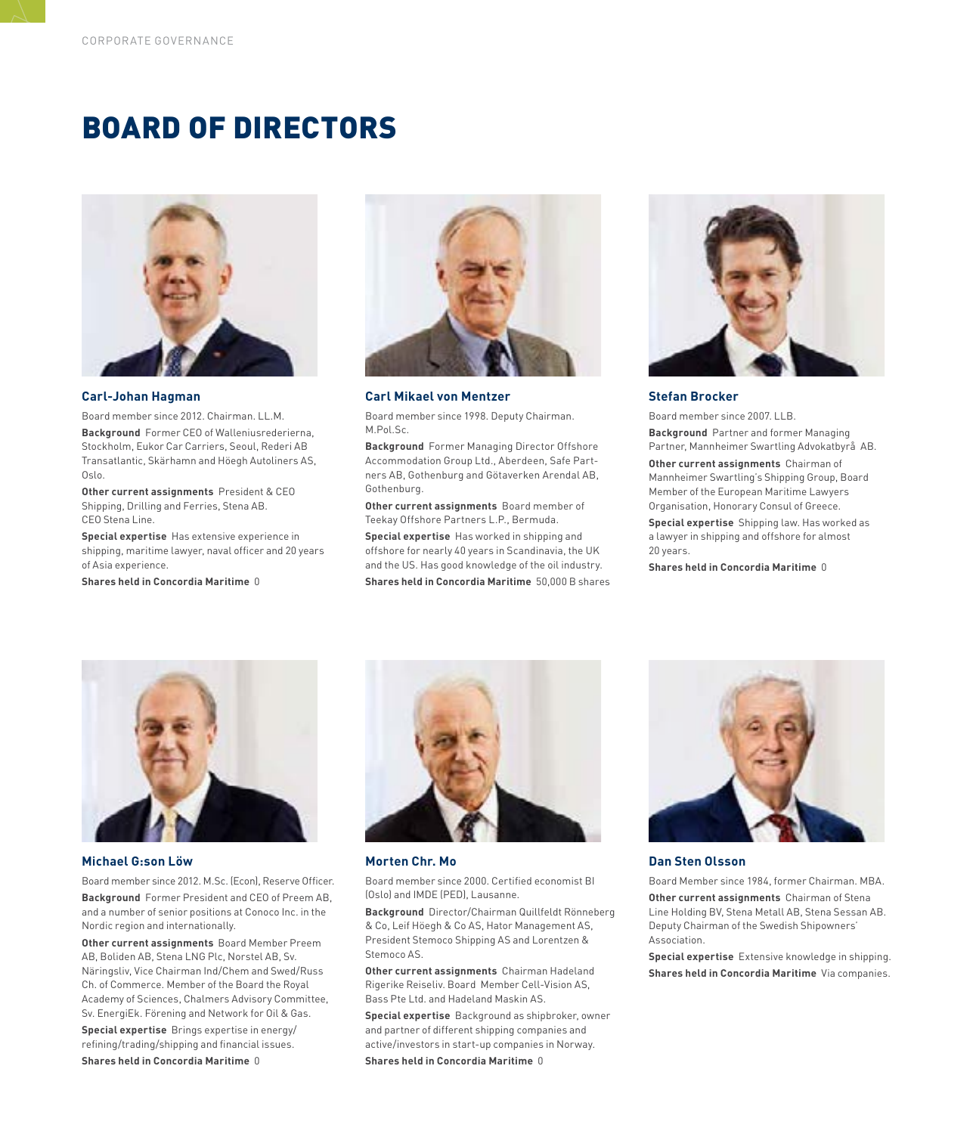# BOARD of directors



#### **Carl-Johan Hagman**

Board member since 2012. Chairman. LL.M.

**Background** Former CEO of Walleniusrederierna, Stockholm, Eukor Car Carriers, Seoul, Rederi AB Transatlantic, Skärhamn and Höegh Autoliners AS, Oslo.

**Other current assignments** President & CEO Shipping, Drilling and Ferries, Stena AB. CEO Stena Line.

**Special expertise**Has extensive experience in shipping, maritime lawyer, naval officer and 20 years of Asia experience.

**Shares held in Concordia Maritime** 0



**Carl Mikael von Mentzer** 

Board member since 1998. Deputy Chairman. M.Pol.Sc.

**Background** Former Managing Director Offshore Accommodation Group Ltd., Aberdeen, Safe Partners AB, Gothenburg and Götaverken Arendal AB, Gothenburg.

**Other current assignments** Board member of Teekay Offshore Partners L.P., Bermuda.

**Special expertise** Has worked in shipping and offshore for nearly 40 years in Scandinavia, the UK and the US. Has good knowledge of the oil industry. **Shares held in Concordia Maritime** 50,000 B shares



#### **Stefan Brocker**

Board member since 2007. LLB.

**Background** Partner and former Managing Partner, Mannheimer Swartling Advokatbyrå AB.

**Other current assignments** Chairman of Mannheimer Swartling's Shipping Group, Board Member of the European Maritime Lawyers Organisation, Honorary Consul of Greece.

**Special expertise** Shipping law. Has worked as a lawyer in shipping and offshore for almost 20 years.

**Shares held in Concordia Maritime** 0



#### **Michael G:son Löw**

Board member since 2012. M.Sc. (Econ), Reserve Officer. **Background**Former President and CEO of Preem AB, and a number of senior positions at Conoco Inc. in the Nordic region and internationally.

**Other current assignments** Board Member Preem AB, Boliden AB, Stena LNG Plc, Norstel AB, Sv. Näringsliv, Vice Chairman Ind/Chem and Swed/Russ Ch. of Commerce. Member of the Board the Royal Academy of Sciences, Chalmers Advisory Committee, Sv. EnergiEk. Förening and Network for Oil & Gas.

**Special expertise** Brings expertise in energy/ refining/trading/shipping and financial issues.

**Shares held in Concordia Maritime** 0



**Morten Chr. Mo**

Board member since 2000. Certified economist BI (Oslo) and IMDE (PED), Lausanne.

**Background** Director/Chairman Quillfeldt Rönneberg & Co, Leif Höegh & Co AS, Hator Management AS, President Stemoco Shipping AS and Lorentzen & Stemoco AS.

**Other current assignments** Chairman Hadeland Rigerike Reiseliv. Board Member Cell-Vision AS, Bass Pte Ltd. and Hadeland Maskin AS.

**Special expertise** Background as shipbroker, owner and partner of different shipping companies and active/investors in start-up companies in Norway.

**Shares held in Concordia Maritime** 0



#### **Dan Sten Olsson**

Board Member since 1984, former Chairman. MBA. **Other current assignments**Chairman of Stena Line Holding BV, Stena Metall AB, Stena Sessan AB. Deputy Chairman of the Swedish Shipowners' Association.

**Special expertise**Extensive knowledge in shipping. **Shares held in Concordia Maritime**Via companies.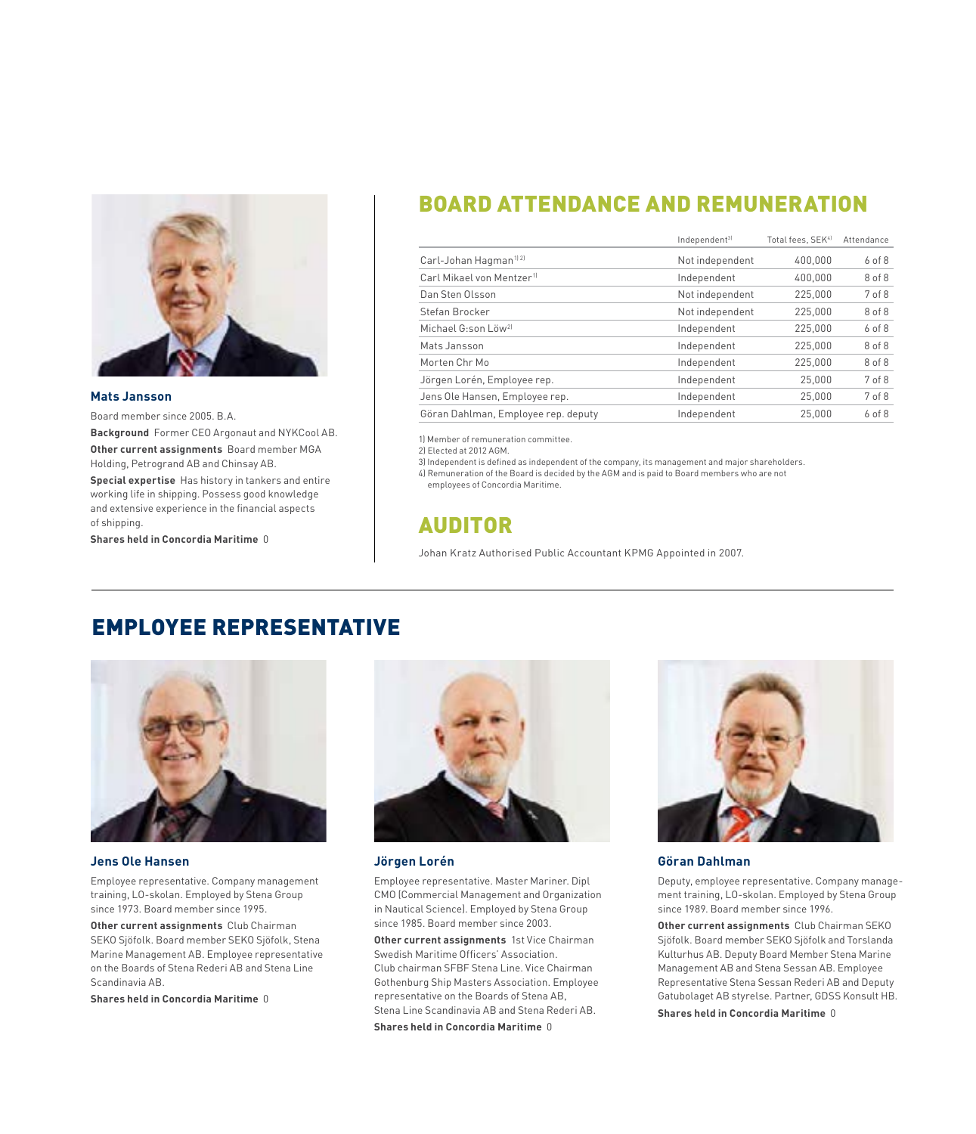

#### **Mats Jansson**

Board member since 2005. B.A.

**Background** Former CEO Argonaut and NYKCool AB. **Other current assignments** Board member MGA

Holding, Petrogrand AB and Chinsay AB. **Special expertise** Has history in tankers and entire

working life in shipping. Possess good knowledge and extensive experience in the financial aspects of shipping.

**Shares held in Concordia Maritime** 0

### BOARD ATTENDANCE AND REMUNERATION

|                                       | Independent <sup>3)</sup> | Total fees, SEK <sup>41</sup> | Attendance |
|---------------------------------------|---------------------------|-------------------------------|------------|
| Carl-Johan Hagman <sup>1121</sup>     | Not independent           | 400.000                       | 6 of 8     |
| Carl Mikael von Mentzer <sup>1)</sup> | Independent               | 400.000                       | 8 of 8     |
| Dan Sten Olsson                       | Not independent           | 225,000                       | 7 of 8     |
| Stefan Brocker                        | Not independent           | 225,000                       | 8 of 8     |
| Michael G:son Löw <sup>2]</sup>       | Independent               | 225,000                       | $6$ of $8$ |
| Mats Jansson                          | Independent               | 225,000                       | 8 of 8     |
| Morten Chr Mo                         | Independent               | 225,000                       | 8 of 8     |
| Jörgen Lorén, Employee rep.           | Independent               | 25,000                        | 7 of 8     |
| Jens Ole Hansen, Employee rep.        | Independent               | 25,000                        | 7 of 8     |
| Göran Dahlman, Employee rep. deputy   | Independent               | 25,000                        | $6$ of $8$ |

1) Member of remuneration committee.

2) Elected at 2012 AGM.

3) Independent is defined as independent of the company, its management and major shareholders. 4) Remuneration of the Board is decided by the AGM and is paid to Board members who are not

employees of Concordia Maritime.

### AUDITOR

Johan Kratz Authorised Public Accountant KPMG Appointed in 2007.

### EMPLOYEE REPRESENTATIVE



### **Jens Ole Hansen**

Employee representative. Company management training, LO-skolan. Employed by Stena Group since 1973. Board member since 1995.

**Other current assignments**Club Chairman SEKO Sjöfolk. Board member SEKO Sjöfolk, Stena Marine Management AB. Employee representative on the Boards of Stena Rederi AB and Stena Line Scandinavia AB.

**Shares held in Concordia Maritime** 0



#### **Jörgen Lorén**

Employee representative. Master Mariner. Dipl CMO (Commercial Management and Organization in Nautical Science). Employed by Stena Group since 1985. Board member since 2003.

**Other current assignments** 1st Vice Chairman Swedish Maritime Officers' Association. Club chairman SFBF Stena Line. Vice Chairman Gothenburg Ship Masters Association. Employee representative on the Boards of Stena AB, Stena Line Scandinavia AB and Stena Rederi AB. **Shares held in Concordia Maritime** 0



#### **Göran Dahlman**

Deputy, employee representative. Company management training, LO-skolan. Employed by Stena Group since 1989. Board member since 1996.

**Other current assignments** Club Chairman SEKO Sjöfolk. Board member SEKO Sjöfolk and Torslanda Kulturhus AB. Deputy Board Member Stena Marine Management AB and Stena Sessan AB. Employee Representative Stena Sessan Rederi AB and Deputy Gatubolaget AB styrelse. Partner, GDSS Konsult HB.

**Shares held in Concordia Maritime** 0